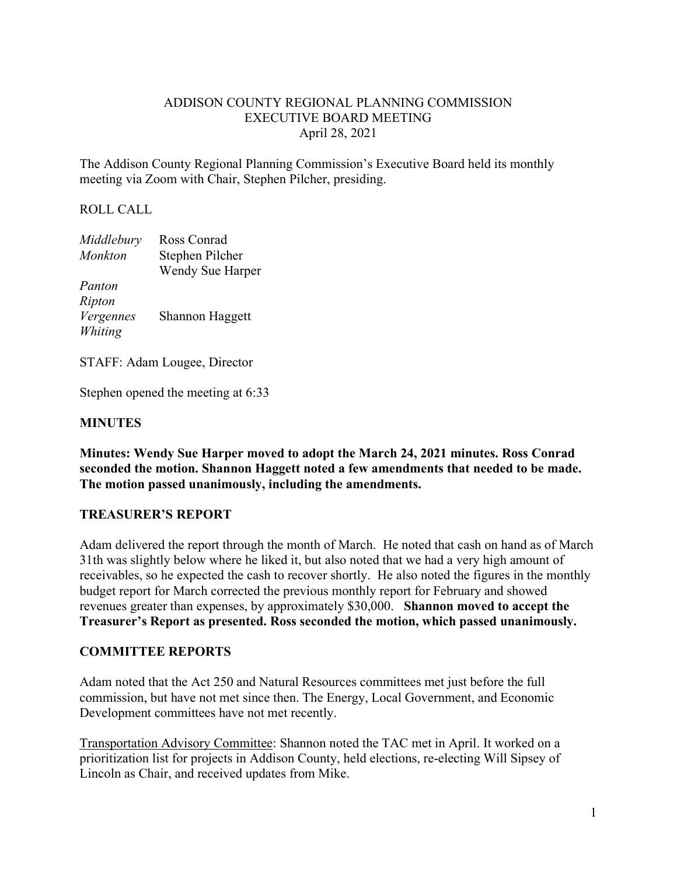### ADDISON COUNTY REGIONAL PLANNING COMMISSION EXECUTIVE BOARD MEETING April 28, 2021

The Addison County Regional Planning Commission's Executive Board held its monthly meeting via Zoom with Chair, Stephen Pilcher, presiding.

### ROLL CALL

| Middlebury | Ross Conrad      |
|------------|------------------|
| Monkton    | Stephen Pilcher  |
|            | Wendy Sue Harper |
| Panton     |                  |
| Ripton     |                  |
| Vergennes  | Shannon Haggett  |
| Whiting    |                  |

STAFF: Adam Lougee, Director

Stephen opened the meeting at 6:33

### **MINUTES**

**Minutes: Wendy Sue Harper moved to adopt the March 24, 2021 minutes. Ross Conrad seconded the motion. Shannon Haggett noted a few amendments that needed to be made. The motion passed unanimously, including the amendments.**

### **TREASURER'S REPORT**

Adam delivered the report through the month of March. He noted that cash on hand as of March 31th was slightly below where he liked it, but also noted that we had a very high amount of receivables, so he expected the cash to recover shortly. He also noted the figures in the monthly budget report for March corrected the previous monthly report for February and showed revenues greater than expenses, by approximately \$30,000. **Shannon moved to accept the Treasurer's Report as presented. Ross seconded the motion, which passed unanimously.** 

### **COMMITTEE REPORTS**

Adam noted that the Act 250 and Natural Resources committees met just before the full commission, but have not met since then. The Energy, Local Government, and Economic Development committees have not met recently.

Transportation Advisory Committee: Shannon noted the TAC met in April. It worked on a prioritization list for projects in Addison County, held elections, re-electing Will Sipsey of Lincoln as Chair, and received updates from Mike.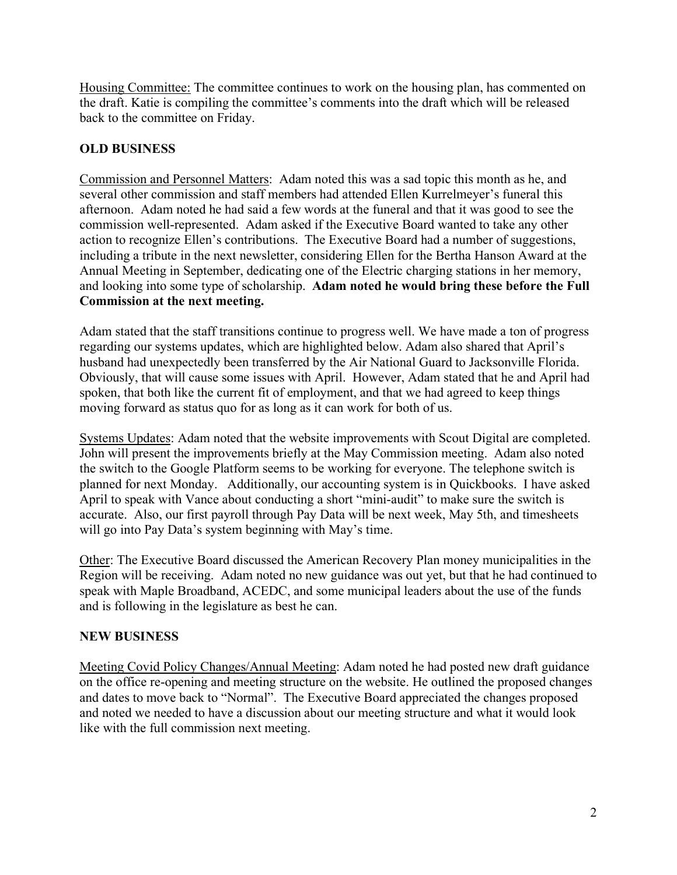Housing Committee: The committee continues to work on the housing plan, has commented on the draft. Katie is compiling the committee's comments into the draft which will be released back to the committee on Friday.

## **OLD BUSINESS**

Commission and Personnel Matters: Adam noted this was a sad topic this month as he, and several other commission and staff members had attended Ellen Kurrelmeyer's funeral this afternoon. Adam noted he had said a few words at the funeral and that it was good to see the commission well-represented. Adam asked if the Executive Board wanted to take any other action to recognize Ellen's contributions. The Executive Board had a number of suggestions, including a tribute in the next newsletter, considering Ellen for the Bertha Hanson Award at the Annual Meeting in September, dedicating one of the Electric charging stations in her memory, and looking into some type of scholarship. **Adam noted he would bring these before the Full Commission at the next meeting.** 

Adam stated that the staff transitions continue to progress well. We have made a ton of progress regarding our systems updates, which are highlighted below. Adam also shared that April's husband had unexpectedly been transferred by the Air National Guard to Jacksonville Florida. Obviously, that will cause some issues with April. However, Adam stated that he and April had spoken, that both like the current fit of employment, and that we had agreed to keep things moving forward as status quo for as long as it can work for both of us.

Systems Updates: Adam noted that the website improvements with Scout Digital are completed. John will present the improvements briefly at the May Commission meeting. Adam also noted the switch to the Google Platform seems to be working for everyone. The telephone switch is planned for next Monday. Additionally, our accounting system is in Quickbooks. I have asked April to speak with Vance about conducting a short "mini-audit" to make sure the switch is accurate. Also, our first payroll through Pay Data will be next week, May 5th, and timesheets will go into Pay Data's system beginning with May's time.

Other: The Executive Board discussed the American Recovery Plan money municipalities in the Region will be receiving. Adam noted no new guidance was out yet, but that he had continued to speak with Maple Broadband, ACEDC, and some municipal leaders about the use of the funds and is following in the legislature as best he can.

### **NEW BUSINESS**

Meeting Covid Policy Changes/Annual Meeting: Adam noted he had posted new draft guidance on the office re-opening and meeting structure on the website. He outlined the proposed changes and dates to move back to "Normal". The Executive Board appreciated the changes proposed and noted we needed to have a discussion about our meeting structure and what it would look like with the full commission next meeting.